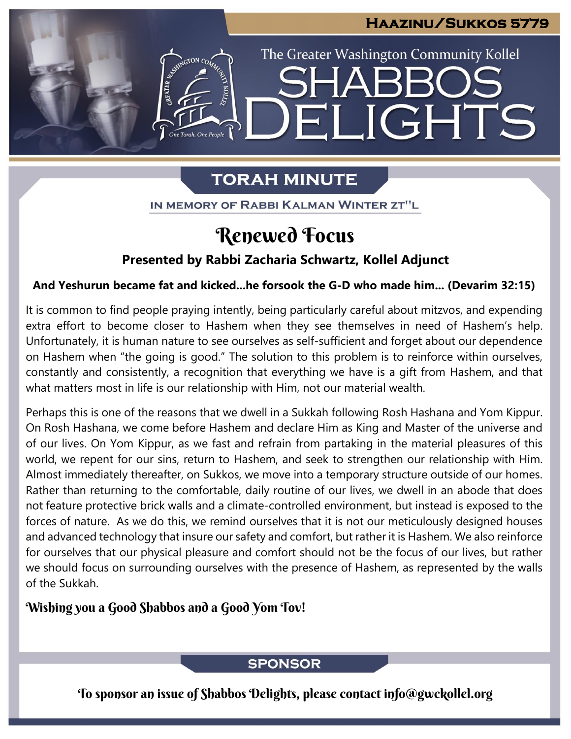LIGHTS

The Greater Washington Community Kollel

## **TORAH MINUTE**

EI

IN MEMORY OF RABBI KALMAN WINTER ZT"L

# Renewed Focus

#### **Presented by Rabbi Zacharia Schwartz, Kollel Adjunct**

#### **And Yeshurun became fat and kicked...he forsook the G-D who made him... (Devarim 32:15)**

It is common to find people praying intently, being particularly careful about mitzvos, and expending extra effort to become closer to Hashem when they see themselves in need of Hashem's help. Unfortunately, it is human nature to see ourselves as self-sufficient and forget about our dependence on Hashem when "the going is good." The solution to this problem is to reinforce within ourselves, constantly and consistently, a recognition that everything we have is a gift from Hashem, and that what matters most in life is our relationship with Him, not our material wealth.

Perhaps this is one of the reasons that we dwell in a Sukkah following Rosh Hashana and Yom Kippur. On Rosh Hashana, we come before Hashem and declare Him as King and Master of the universe and of our lives. On Yom Kippur, as we fast and refrain from partaking in the material pleasures of this world, we repent for our sins, return to Hashem, and seek to strengthen our relationship with Him. Almost immediately thereafter, on Sukkos, we move into a temporary structure outside of our homes. Rather than returning to the comfortable, daily routine of our lives, we dwell in an abode that does not feature protective brick walls and a climate-controlled environment, but instead is exposed to the forces of nature. As we do this, we remind ourselves that it is not our meticulously designed houses and advanced technology that insure our safety and comfort, but rather it is Hashem. We also reinforce for ourselves that our physical pleasure and comfort should not be the focus of our lives, but rather we should focus on surrounding ourselves with the presence of Hashem, as represented by the walls of the Sukkah.

### Wishing you a Good Shabbos and a Good Yom Tov!

#### **SPONSOR**

To sponsor an issue of Shabbos Delights, please contact info@gwckollel.org